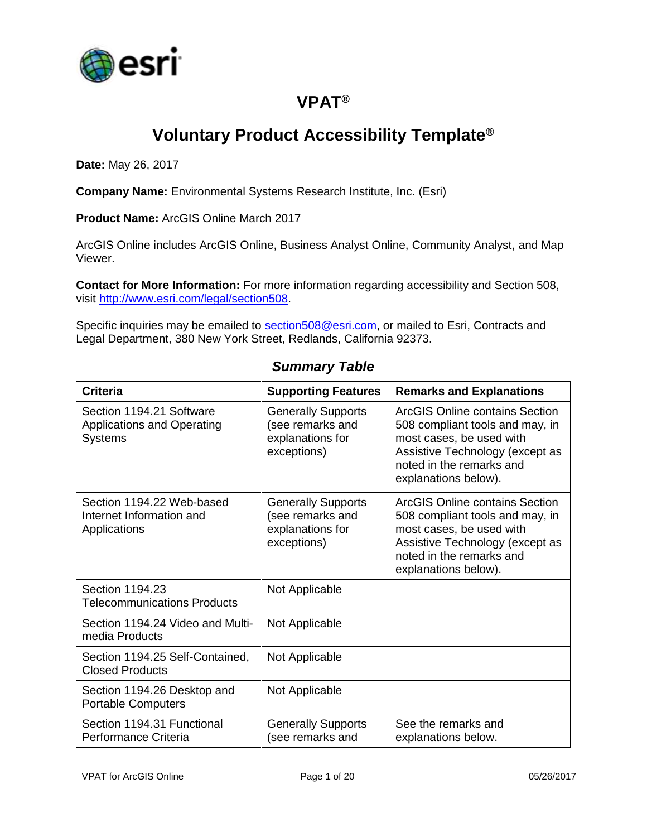

## **VPAT®**

## **Voluntary Product Accessibility Template®**

**Date:** May 26, 2017

**Company Name:** Environmental Systems Research Institute, Inc. (Esri)

**Product Name:** ArcGIS Online March 2017

ArcGIS Online includes ArcGIS Online, Business Analyst Online, Community Analyst, and Map Viewer.

**Contact for More Information:** For more information regarding accessibility and Section 508, visit [http://www.esri.com/legal/section508.](http://www.esri.com/legal/section508)

Specific inquiries may be emailed to [section508@esri.com,](mailto:section508@esri.com) or mailed to Esri, Contracts and Legal Department, 380 New York Street, Redlands, California 92373.

| <b>Criteria</b>                                                                 | <b>Supporting Features</b>                                                       | <b>Remarks and Explanations</b>                                                                                                                                                      |
|---------------------------------------------------------------------------------|----------------------------------------------------------------------------------|--------------------------------------------------------------------------------------------------------------------------------------------------------------------------------------|
| Section 1194.21 Software<br><b>Applications and Operating</b><br><b>Systems</b> | <b>Generally Supports</b><br>(see remarks and<br>explanations for<br>exceptions) | ArcGIS Online contains Section<br>508 compliant tools and may, in<br>most cases, be used with<br>Assistive Technology (except as<br>noted in the remarks and<br>explanations below). |
| Section 1194.22 Web-based<br>Internet Information and<br>Applications           | <b>Generally Supports</b><br>(see remarks and<br>explanations for<br>exceptions) | ArcGIS Online contains Section<br>508 compliant tools and may, in<br>most cases, be used with<br>Assistive Technology (except as<br>noted in the remarks and<br>explanations below). |
| Section 1194.23<br><b>Telecommunications Products</b>                           | Not Applicable                                                                   |                                                                                                                                                                                      |
| Section 1194.24 Video and Multi-<br>media Products                              | Not Applicable                                                                   |                                                                                                                                                                                      |
| Section 1194.25 Self-Contained,<br><b>Closed Products</b>                       | Not Applicable                                                                   |                                                                                                                                                                                      |
| Section 1194.26 Desktop and<br><b>Portable Computers</b>                        | Not Applicable                                                                   |                                                                                                                                                                                      |
| Section 1194.31 Functional<br>Performance Criteria                              | <b>Generally Supports</b><br>(see remarks and                                    | See the remarks and<br>explanations below.                                                                                                                                           |

#### *Summary Table*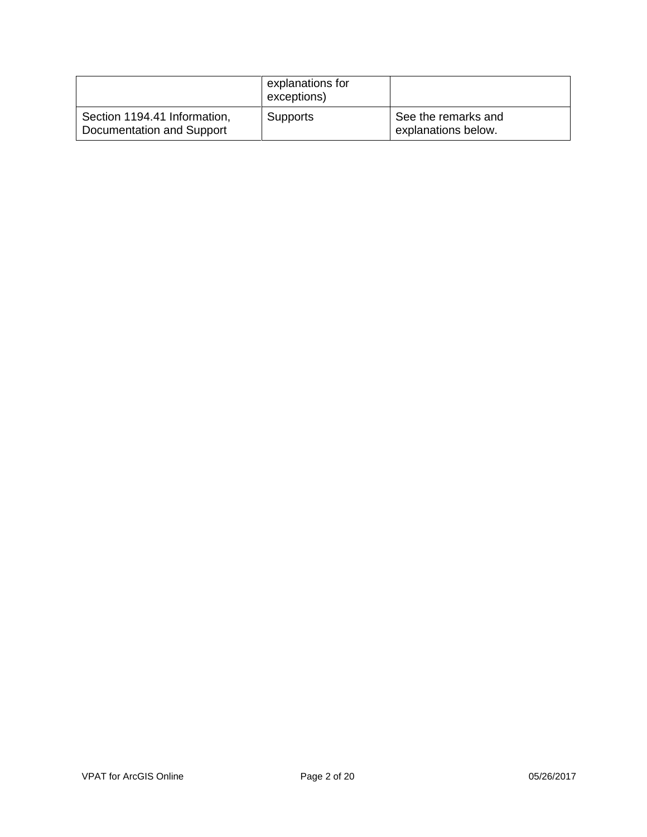|                                                           | explanations for<br>exceptions) |                                            |
|-----------------------------------------------------------|---------------------------------|--------------------------------------------|
| Section 1194.41 Information,<br>Documentation and Support | <b>Supports</b>                 | See the remarks and<br>explanations below. |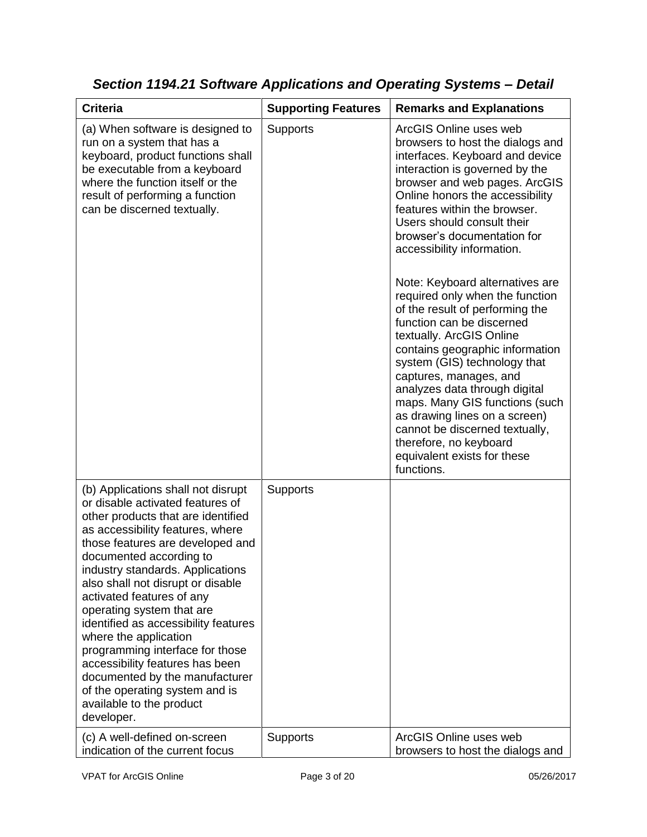| <b>Criteria</b>                                                                                                                                                                                                                                                                                                                                                                                                                                                                                                                                                                                         | <b>Supporting Features</b> | <b>Remarks and Explanations</b>                                                                                                                                                                                                                                                                                                                                                                                                                                                                                                                                                                                                                                                                                                                                                              |
|---------------------------------------------------------------------------------------------------------------------------------------------------------------------------------------------------------------------------------------------------------------------------------------------------------------------------------------------------------------------------------------------------------------------------------------------------------------------------------------------------------------------------------------------------------------------------------------------------------|----------------------------|----------------------------------------------------------------------------------------------------------------------------------------------------------------------------------------------------------------------------------------------------------------------------------------------------------------------------------------------------------------------------------------------------------------------------------------------------------------------------------------------------------------------------------------------------------------------------------------------------------------------------------------------------------------------------------------------------------------------------------------------------------------------------------------------|
| (a) When software is designed to<br>run on a system that has a<br>keyboard, product functions shall<br>be executable from a keyboard<br>where the function itself or the<br>result of performing a function<br>can be discerned textually.                                                                                                                                                                                                                                                                                                                                                              | <b>Supports</b>            | ArcGIS Online uses web<br>browsers to host the dialogs and<br>interfaces. Keyboard and device<br>interaction is governed by the<br>browser and web pages. ArcGIS<br>Online honors the accessibility<br>features within the browser.<br>Users should consult their<br>browser's documentation for<br>accessibility information.<br>Note: Keyboard alternatives are<br>required only when the function<br>of the result of performing the<br>function can be discerned<br>textually. ArcGIS Online<br>contains geographic information<br>system (GIS) technology that<br>captures, manages, and<br>analyzes data through digital<br>maps. Many GIS functions (such<br>as drawing lines on a screen)<br>cannot be discerned textually,<br>therefore, no keyboard<br>equivalent exists for these |
| (b) Applications shall not disrupt<br>or disable activated features of<br>other products that are identified<br>as accessibility features, where<br>those features are developed and<br>documented according to<br>industry standards. Applications<br>also shall not disrupt or disable<br>activated features of any<br>operating system that are<br>identified as accessibility features<br>where the application<br>programming interface for those<br>accessibility features has been<br>documented by the manufacturer<br>of the operating system and is<br>available to the product<br>developer. | <b>Supports</b>            | functions.                                                                                                                                                                                                                                                                                                                                                                                                                                                                                                                                                                                                                                                                                                                                                                                   |
| (c) A well-defined on-screen<br>indication of the current focus                                                                                                                                                                                                                                                                                                                                                                                                                                                                                                                                         | Supports                   | ArcGIS Online uses web<br>browsers to host the dialogs and                                                                                                                                                                                                                                                                                                                                                                                                                                                                                                                                                                                                                                                                                                                                   |

*Section 1194.21 Software Applications and Operating Systems – Detail*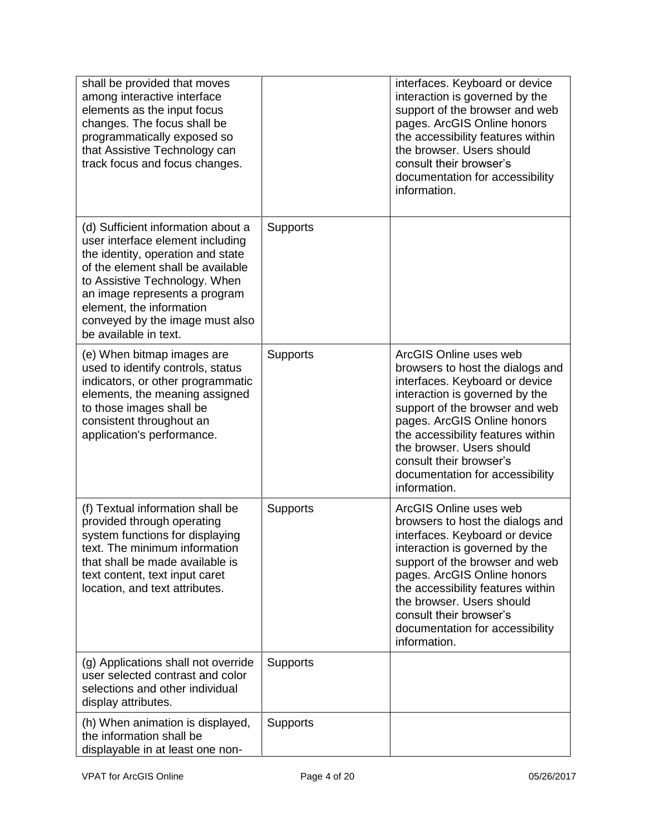| shall be provided that moves<br>among interactive interface<br>elements as the input focus<br>changes. The focus shall be<br>programmatically exposed so<br>that Assistive Technology can<br>track focus and focus changes.                                                                                |                 | interfaces. Keyboard or device<br>interaction is governed by the<br>support of the browser and web<br>pages. ArcGIS Online honors<br>the accessibility features within<br>the browser. Users should<br>consult their browser's<br>documentation for accessibility<br>information.                                                               |
|------------------------------------------------------------------------------------------------------------------------------------------------------------------------------------------------------------------------------------------------------------------------------------------------------------|-----------------|-------------------------------------------------------------------------------------------------------------------------------------------------------------------------------------------------------------------------------------------------------------------------------------------------------------------------------------------------|
| (d) Sufficient information about a<br>user interface element including<br>the identity, operation and state<br>of the element shall be available<br>to Assistive Technology. When<br>an image represents a program<br>element, the information<br>conveyed by the image must also<br>be available in text. | <b>Supports</b> |                                                                                                                                                                                                                                                                                                                                                 |
| (e) When bitmap images are<br>used to identify controls, status<br>indicators, or other programmatic<br>elements, the meaning assigned<br>to those images shall be<br>consistent throughout an<br>application's performance.                                                                               | <b>Supports</b> | ArcGIS Online uses web<br>browsers to host the dialogs and<br>interfaces. Keyboard or device<br>interaction is governed by the<br>support of the browser and web<br>pages. ArcGIS Online honors<br>the accessibility features within<br>the browser. Users should<br>consult their browser's<br>documentation for accessibility<br>information. |
| (f) Textual information shall be<br>provided through operating<br>system functions for displaying<br>text. The minimum information<br>that shall be made available is<br>text content, text input caret<br>location, and text attributes.                                                                  | <b>Supports</b> | ArcGIS Online uses web<br>browsers to host the dialogs and<br>interfaces. Keyboard or device<br>interaction is governed by the<br>support of the browser and web<br>pages. ArcGIS Online honors<br>the accessibility features within<br>the browser. Users should<br>consult their browser's<br>documentation for accessibility<br>information. |
| (g) Applications shall not override<br>user selected contrast and color<br>selections and other individual<br>display attributes.                                                                                                                                                                          | <b>Supports</b> |                                                                                                                                                                                                                                                                                                                                                 |
| (h) When animation is displayed,<br>the information shall be<br>displayable in at least one non-                                                                                                                                                                                                           | <b>Supports</b> |                                                                                                                                                                                                                                                                                                                                                 |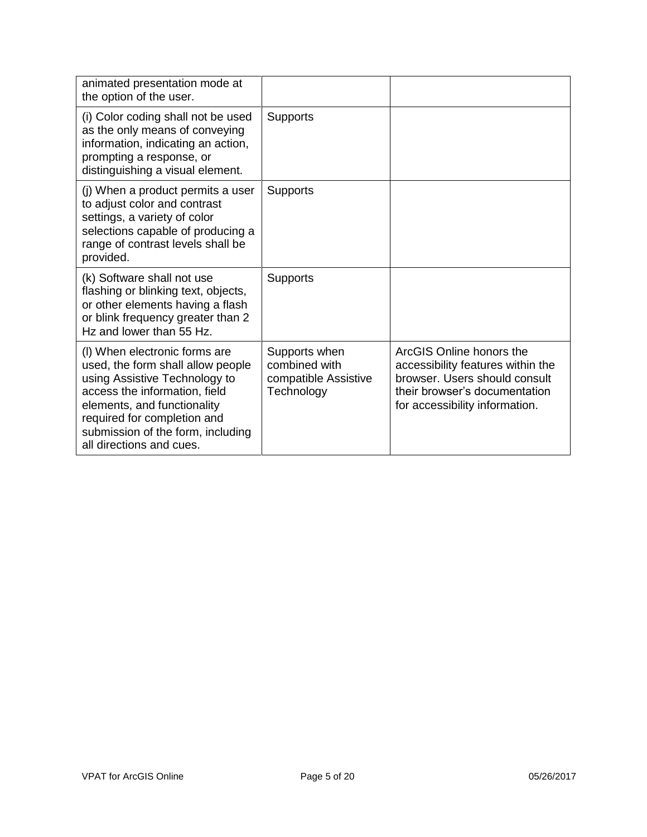| animated presentation mode at<br>the option of the user.                                                                                                                                                                                                            |                                                                      |                                                                                                                                                                   |
|---------------------------------------------------------------------------------------------------------------------------------------------------------------------------------------------------------------------------------------------------------------------|----------------------------------------------------------------------|-------------------------------------------------------------------------------------------------------------------------------------------------------------------|
| (i) Color coding shall not be used<br>as the only means of conveying<br>information, indicating an action,<br>prompting a response, or<br>distinguishing a visual element.                                                                                          | <b>Supports</b>                                                      |                                                                                                                                                                   |
| (j) When a product permits a user<br>to adjust color and contrast<br>settings, a variety of color<br>selections capable of producing a<br>range of contrast levels shall be<br>provided.                                                                            | <b>Supports</b>                                                      |                                                                                                                                                                   |
| (k) Software shall not use<br>flashing or blinking text, objects,<br>or other elements having a flash<br>or blink frequency greater than 2<br>Hz and lower than 55 Hz.                                                                                              | <b>Supports</b>                                                      |                                                                                                                                                                   |
| (I) When electronic forms are<br>used, the form shall allow people<br>using Assistive Technology to<br>access the information, field<br>elements, and functionality<br>required for completion and<br>submission of the form, including<br>all directions and cues. | Supports when<br>combined with<br>compatible Assistive<br>Technology | ArcGIS Online honors the<br>accessibility features within the<br>browser. Users should consult<br>their browser's documentation<br>for accessibility information. |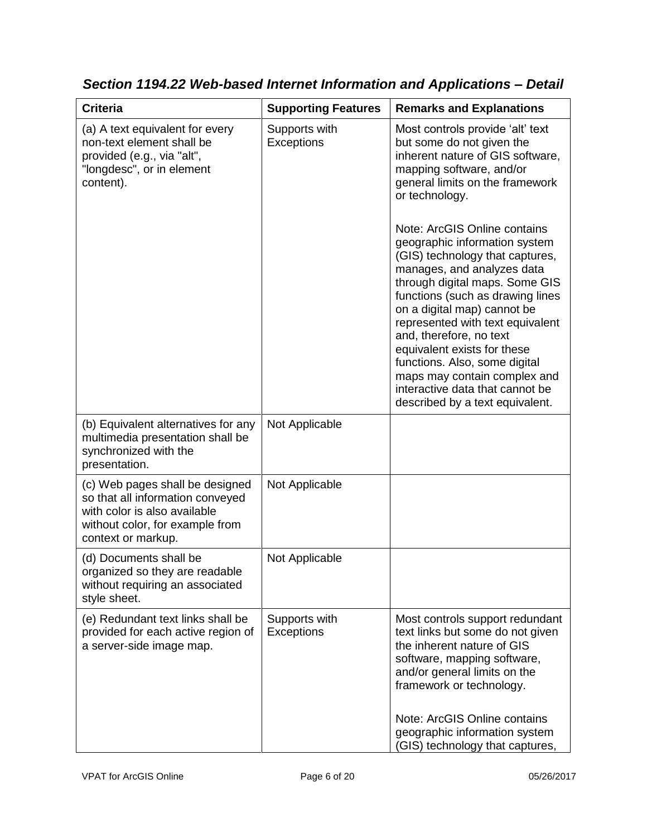| <b>Criteria</b>                                                                                                                                              | <b>Supporting Features</b>         | <b>Remarks and Explanations</b>                                                                                                                                                                                                                                                                                                                                                                                                                                                                                                                                                          |
|--------------------------------------------------------------------------------------------------------------------------------------------------------------|------------------------------------|------------------------------------------------------------------------------------------------------------------------------------------------------------------------------------------------------------------------------------------------------------------------------------------------------------------------------------------------------------------------------------------------------------------------------------------------------------------------------------------------------------------------------------------------------------------------------------------|
| (a) A text equivalent for every<br>non-text element shall be<br>provided (e.g., via "alt",<br>"longdesc", or in element<br>content).                         | Supports with<br><b>Exceptions</b> | Most controls provide 'alt' text<br>but some do not given the<br>inherent nature of GIS software,<br>mapping software, and/or<br>general limits on the framework<br>or technology.<br>Note: ArcGIS Online contains<br>geographic information system<br>(GIS) technology that captures,<br>manages, and analyzes data<br>through digital maps. Some GIS<br>functions (such as drawing lines<br>on a digital map) cannot be<br>represented with text equivalent<br>and, therefore, no text<br>equivalent exists for these<br>functions. Also, some digital<br>maps may contain complex and |
|                                                                                                                                                              |                                    | interactive data that cannot be<br>described by a text equivalent.                                                                                                                                                                                                                                                                                                                                                                                                                                                                                                                       |
| (b) Equivalent alternatives for any<br>multimedia presentation shall be<br>synchronized with the<br>presentation.                                            | Not Applicable                     |                                                                                                                                                                                                                                                                                                                                                                                                                                                                                                                                                                                          |
| (c) Web pages shall be designed<br>so that all information conveyed<br>with color is also available<br>without color, for example from<br>context or markup. | Not Applicable                     |                                                                                                                                                                                                                                                                                                                                                                                                                                                                                                                                                                                          |
| (d) Documents shall be<br>organized so they are readable<br>without requiring an associated<br>style sheet.                                                  | Not Applicable                     |                                                                                                                                                                                                                                                                                                                                                                                                                                                                                                                                                                                          |
| (e) Redundant text links shall be<br>provided for each active region of<br>a server-side image map.                                                          | Supports with<br>Exceptions        | Most controls support redundant<br>text links but some do not given<br>the inherent nature of GIS<br>software, mapping software,<br>and/or general limits on the<br>framework or technology.<br>Note: ArcGIS Online contains                                                                                                                                                                                                                                                                                                                                                             |
|                                                                                                                                                              |                                    | geographic information system<br>(GIS) technology that captures,                                                                                                                                                                                                                                                                                                                                                                                                                                                                                                                         |

*Section 1194.22 Web-based Internet Information and Applications – Detail*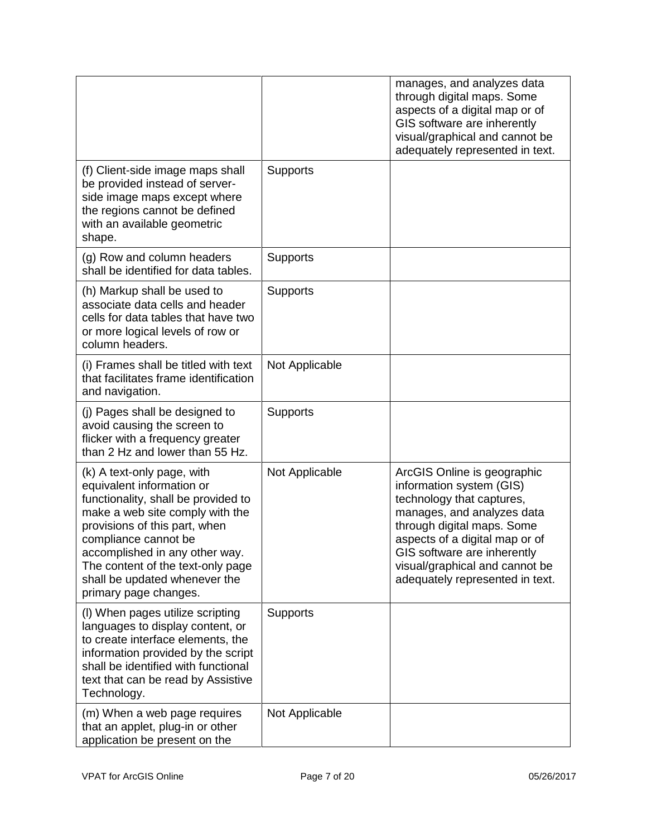|                                                                                                                                                                                                                                                                                                                             |                 | manages, and analyzes data<br>through digital maps. Some<br>aspects of a digital map or of<br>GIS software are inherently<br>visual/graphical and cannot be<br>adequately represented in text.                                                                                         |
|-----------------------------------------------------------------------------------------------------------------------------------------------------------------------------------------------------------------------------------------------------------------------------------------------------------------------------|-----------------|----------------------------------------------------------------------------------------------------------------------------------------------------------------------------------------------------------------------------------------------------------------------------------------|
| (f) Client-side image maps shall<br>be provided instead of server-<br>side image maps except where<br>the regions cannot be defined<br>with an available geometric<br>shape.                                                                                                                                                | Supports        |                                                                                                                                                                                                                                                                                        |
| (g) Row and column headers<br>shall be identified for data tables.                                                                                                                                                                                                                                                          | Supports        |                                                                                                                                                                                                                                                                                        |
| (h) Markup shall be used to<br>associate data cells and header<br>cells for data tables that have two<br>or more logical levels of row or<br>column headers.                                                                                                                                                                | <b>Supports</b> |                                                                                                                                                                                                                                                                                        |
| (i) Frames shall be titled with text<br>that facilitates frame identification<br>and navigation.                                                                                                                                                                                                                            | Not Applicable  |                                                                                                                                                                                                                                                                                        |
| (j) Pages shall be designed to<br>avoid causing the screen to<br>flicker with a frequency greater<br>than 2 Hz and lower than 55 Hz.                                                                                                                                                                                        | <b>Supports</b> |                                                                                                                                                                                                                                                                                        |
| (k) A text-only page, with<br>equivalent information or<br>functionality, shall be provided to<br>make a web site comply with the<br>provisions of this part, when<br>compliance cannot be<br>accomplished in any other way.<br>The content of the text-only page<br>shall be updated whenever the<br>primary page changes. | Not Applicable  | ArcGIS Online is geographic<br>information system (GIS)<br>technology that captures,<br>manages, and analyzes data<br>through digital maps. Some<br>aspects of a digital map or of<br>GIS software are inherently<br>visual/graphical and cannot be<br>adequately represented in text. |
| (I) When pages utilize scripting<br>languages to display content, or<br>to create interface elements, the<br>information provided by the script<br>shall be identified with functional<br>text that can be read by Assistive<br>Technology.                                                                                 | <b>Supports</b> |                                                                                                                                                                                                                                                                                        |
| (m) When a web page requires<br>that an applet, plug-in or other<br>application be present on the                                                                                                                                                                                                                           | Not Applicable  |                                                                                                                                                                                                                                                                                        |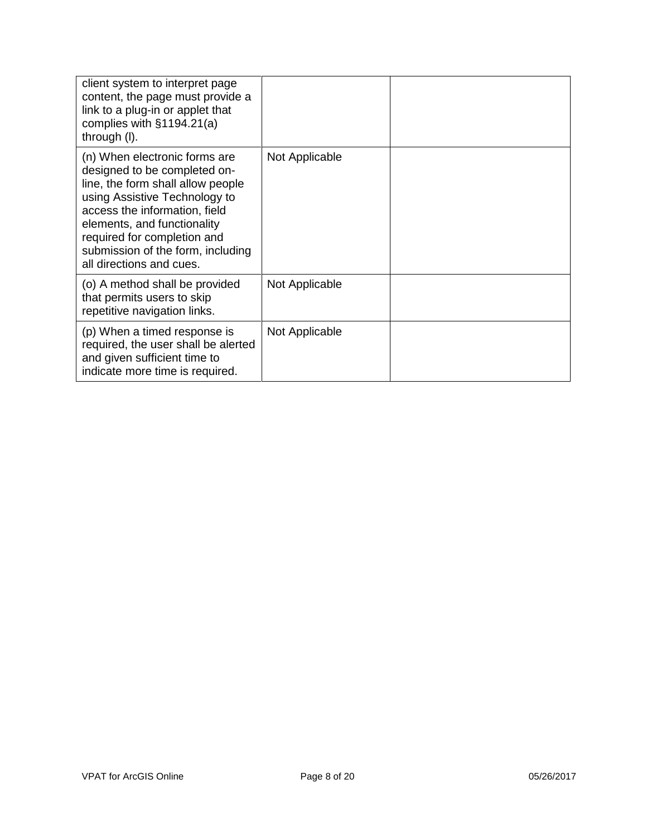| client system to interpret page<br>content, the page must provide a<br>link to a plug-in or applet that<br>complies with $§1194.21(a)$<br>through (I).                                                                                                                                              |                |  |
|-----------------------------------------------------------------------------------------------------------------------------------------------------------------------------------------------------------------------------------------------------------------------------------------------------|----------------|--|
| (n) When electronic forms are<br>designed to be completed on-<br>line, the form shall allow people<br>using Assistive Technology to<br>access the information, field<br>elements, and functionality<br>required for completion and<br>submission of the form, including<br>all directions and cues. | Not Applicable |  |
| (o) A method shall be provided<br>that permits users to skip<br>repetitive navigation links.                                                                                                                                                                                                        | Not Applicable |  |
| (p) When a timed response is<br>required, the user shall be alerted<br>and given sufficient time to<br>indicate more time is required.                                                                                                                                                              | Not Applicable |  |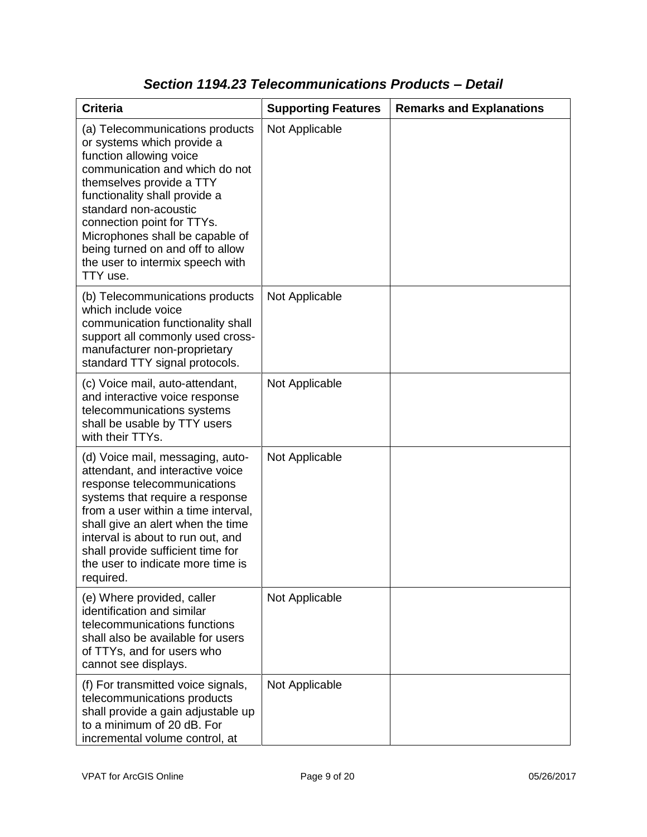| <b>Criteria</b>                                                                                                                                                                                                                                                                                                                                                       | <b>Supporting Features</b> | <b>Remarks and Explanations</b> |
|-----------------------------------------------------------------------------------------------------------------------------------------------------------------------------------------------------------------------------------------------------------------------------------------------------------------------------------------------------------------------|----------------------------|---------------------------------|
| (a) Telecommunications products<br>or systems which provide a<br>function allowing voice<br>communication and which do not<br>themselves provide a TTY<br>functionality shall provide a<br>standard non-acoustic<br>connection point for TTYs.<br>Microphones shall be capable of<br>being turned on and off to allow<br>the user to intermix speech with<br>TTY use. | Not Applicable             |                                 |
| (b) Telecommunications products<br>which include voice<br>communication functionality shall<br>support all commonly used cross-<br>manufacturer non-proprietary<br>standard TTY signal protocols.                                                                                                                                                                     | Not Applicable             |                                 |
| (c) Voice mail, auto-attendant,<br>and interactive voice response<br>telecommunications systems<br>shall be usable by TTY users<br>with their TTYs.                                                                                                                                                                                                                   | Not Applicable             |                                 |
| (d) Voice mail, messaging, auto-<br>attendant, and interactive voice<br>response telecommunications<br>systems that require a response<br>from a user within a time interval,<br>shall give an alert when the time<br>interval is about to run out, and<br>shall provide sufficient time for<br>the user to indicate more time is<br>required.                        | Not Applicable             |                                 |
| (e) Where provided, caller<br>identification and similar<br>telecommunications functions<br>shall also be available for users<br>of TTYs, and for users who<br>cannot see displays.                                                                                                                                                                                   | Not Applicable             |                                 |
| (f) For transmitted voice signals,<br>telecommunications products<br>shall provide a gain adjustable up<br>to a minimum of 20 dB. For<br>incremental volume control, at                                                                                                                                                                                               | Not Applicable             |                                 |

### *Section 1194.23 Telecommunications Products – Detail*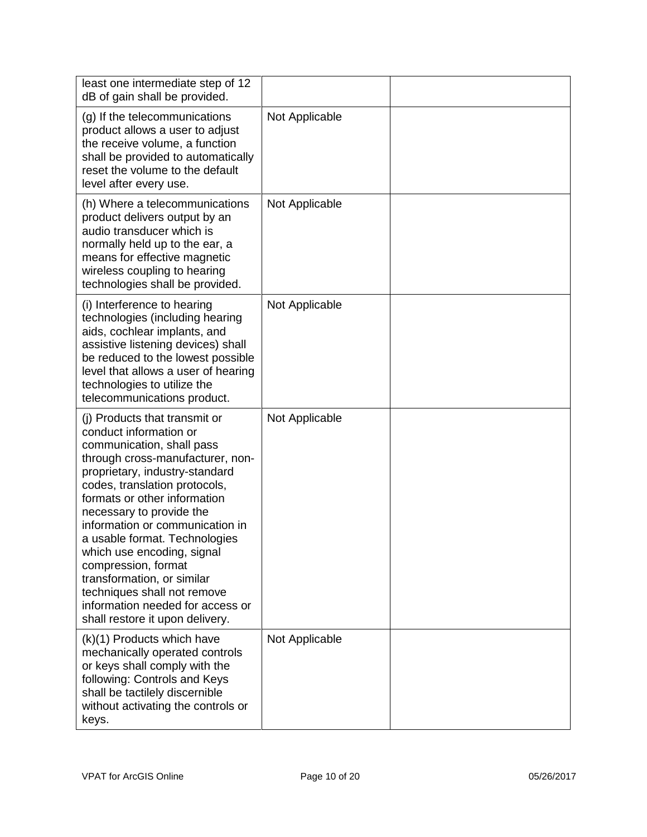| least one intermediate step of 12<br>dB of gain shall be provided.                                                                                                                                                                                                                                                                                                                                                                                                                                                   |                |  |
|----------------------------------------------------------------------------------------------------------------------------------------------------------------------------------------------------------------------------------------------------------------------------------------------------------------------------------------------------------------------------------------------------------------------------------------------------------------------------------------------------------------------|----------------|--|
| (g) If the telecommunications<br>product allows a user to adjust<br>the receive volume, a function<br>shall be provided to automatically<br>reset the volume to the default<br>level after every use.                                                                                                                                                                                                                                                                                                                | Not Applicable |  |
| (h) Where a telecommunications<br>product delivers output by an<br>audio transducer which is<br>normally held up to the ear, a<br>means for effective magnetic<br>wireless coupling to hearing<br>technologies shall be provided.                                                                                                                                                                                                                                                                                    | Not Applicable |  |
| (i) Interference to hearing<br>technologies (including hearing<br>aids, cochlear implants, and<br>assistive listening devices) shall<br>be reduced to the lowest possible<br>level that allows a user of hearing<br>technologies to utilize the<br>telecommunications product.                                                                                                                                                                                                                                       | Not Applicable |  |
| (i) Products that transmit or<br>conduct information or<br>communication, shall pass<br>through cross-manufacturer, non-<br>proprietary, industry-standard<br>codes, translation protocols,<br>formats or other information<br>necessary to provide the<br>information or communication in<br>a usable format. Technologies<br>which use encoding, signal<br>compression, format<br>transformation, or similar<br>techniques shall not remove<br>information needed for access or<br>shall restore it upon delivery. | Not Applicable |  |
| (k)(1) Products which have<br>mechanically operated controls<br>or keys shall comply with the<br>following: Controls and Keys<br>shall be tactilely discernible<br>without activating the controls or<br>keys.                                                                                                                                                                                                                                                                                                       | Not Applicable |  |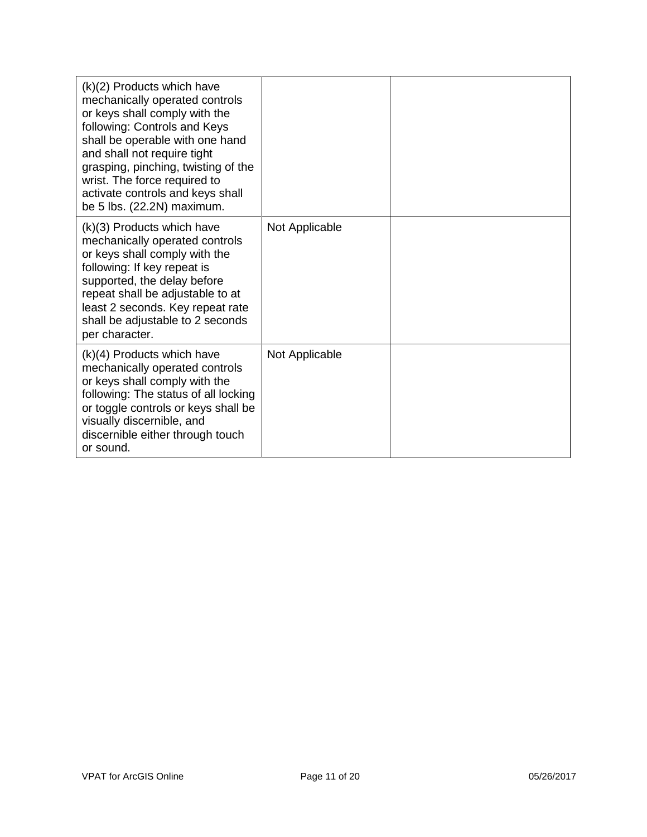| (k)(2) Products which have<br>mechanically operated controls<br>or keys shall comply with the<br>following: Controls and Keys<br>shall be operable with one hand<br>and shall not require tight<br>grasping, pinching, twisting of the<br>wrist. The force required to<br>activate controls and keys shall<br>be 5 lbs. (22.2N) maximum. |                |  |
|------------------------------------------------------------------------------------------------------------------------------------------------------------------------------------------------------------------------------------------------------------------------------------------------------------------------------------------|----------------|--|
| (k)(3) Products which have<br>mechanically operated controls<br>or keys shall comply with the<br>following: If key repeat is<br>supported, the delay before<br>repeat shall be adjustable to at<br>least 2 seconds. Key repeat rate<br>shall be adjustable to 2 seconds<br>per character.                                                | Not Applicable |  |
| $(k)(4)$ Products which have<br>mechanically operated controls<br>or keys shall comply with the<br>following: The status of all locking<br>or toggle controls or keys shall be<br>visually discernible, and<br>discernible either through touch<br>or sound.                                                                             | Not Applicable |  |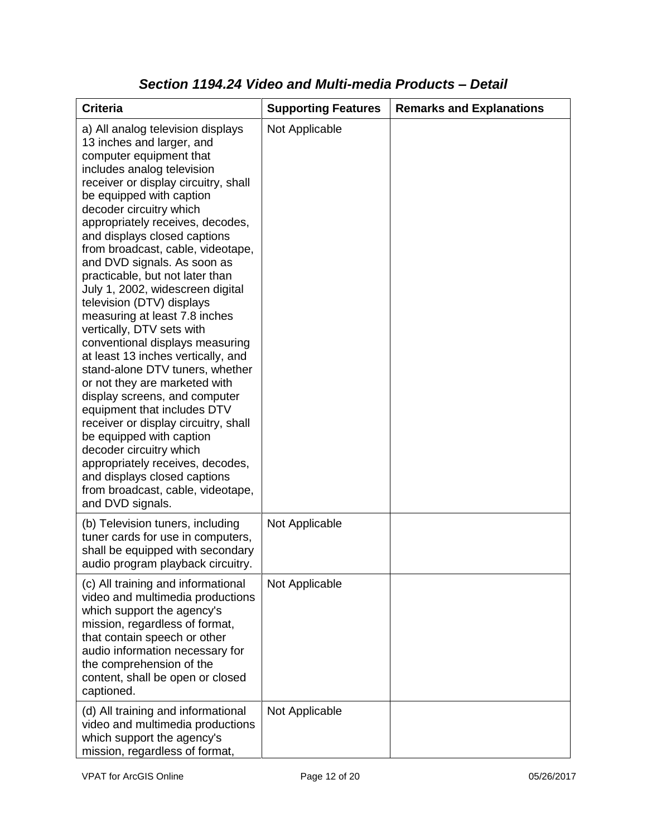| <b>Criteria</b>                                                                                                                                                                                                                                                                                                                                                                                                                                                                                                                                                                                                                                                                                                                                                                                                                                                                                                                                                           | <b>Supporting Features</b> | <b>Remarks and Explanations</b> |
|---------------------------------------------------------------------------------------------------------------------------------------------------------------------------------------------------------------------------------------------------------------------------------------------------------------------------------------------------------------------------------------------------------------------------------------------------------------------------------------------------------------------------------------------------------------------------------------------------------------------------------------------------------------------------------------------------------------------------------------------------------------------------------------------------------------------------------------------------------------------------------------------------------------------------------------------------------------------------|----------------------------|---------------------------------|
| a) All analog television displays<br>13 inches and larger, and<br>computer equipment that<br>includes analog television<br>receiver or display circuitry, shall<br>be equipped with caption<br>decoder circuitry which<br>appropriately receives, decodes,<br>and displays closed captions<br>from broadcast, cable, videotape,<br>and DVD signals. As soon as<br>practicable, but not later than<br>July 1, 2002, widescreen digital<br>television (DTV) displays<br>measuring at least 7.8 inches<br>vertically, DTV sets with<br>conventional displays measuring<br>at least 13 inches vertically, and<br>stand-alone DTV tuners, whether<br>or not they are marketed with<br>display screens, and computer<br>equipment that includes DTV<br>receiver or display circuitry, shall<br>be equipped with caption<br>decoder circuitry which<br>appropriately receives, decodes,<br>and displays closed captions<br>from broadcast, cable, videotape,<br>and DVD signals. | Not Applicable             |                                 |
| (b) Television tuners, including<br>tuner cards for use in computers,<br>shall be equipped with secondary<br>audio program playback circuitry.                                                                                                                                                                                                                                                                                                                                                                                                                                                                                                                                                                                                                                                                                                                                                                                                                            | Not Applicable             |                                 |
| (c) All training and informational<br>video and multimedia productions<br>which support the agency's<br>mission, regardless of format,<br>that contain speech or other<br>audio information necessary for<br>the comprehension of the<br>content, shall be open or closed<br>captioned.                                                                                                                                                                                                                                                                                                                                                                                                                                                                                                                                                                                                                                                                                   | Not Applicable             |                                 |
| (d) All training and informational<br>video and multimedia productions<br>which support the agency's<br>mission, regardless of format,                                                                                                                                                                                                                                                                                                                                                                                                                                                                                                                                                                                                                                                                                                                                                                                                                                    | Not Applicable             |                                 |

### *Section 1194.24 Video and Multi-media Products – Detail*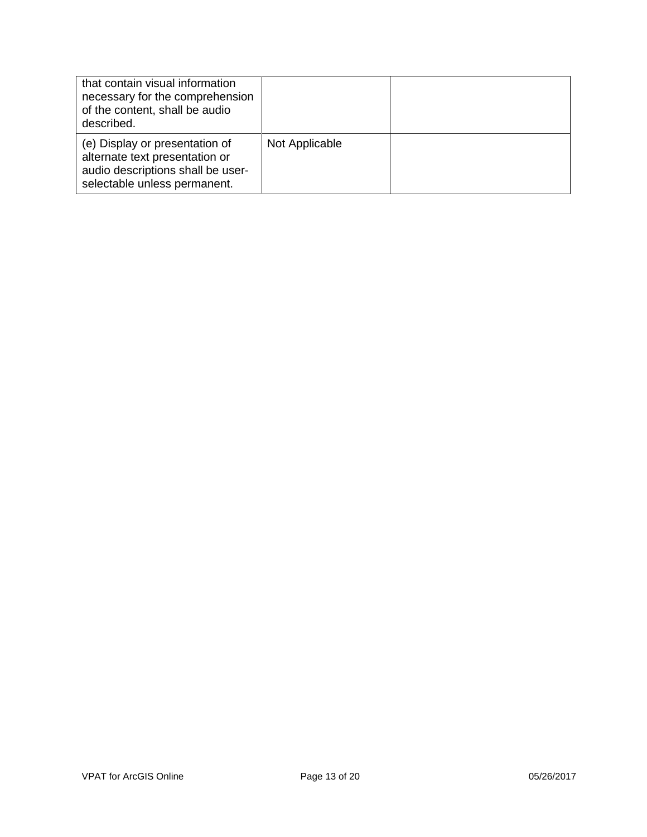| that contain visual information<br>necessary for the comprehension<br>of the content, shall be audio<br>described.                    |                |  |
|---------------------------------------------------------------------------------------------------------------------------------------|----------------|--|
| (e) Display or presentation of<br>alternate text presentation or<br>audio descriptions shall be user-<br>selectable unless permanent. | Not Applicable |  |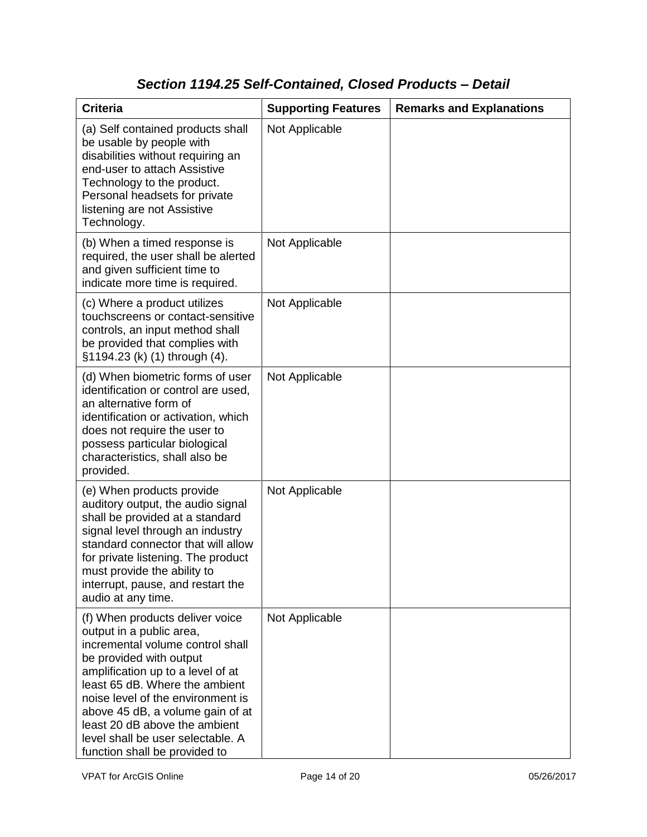# *Section 1194.25 Self-Contained, Closed Products – Detail*

| <b>Criteria</b>                                                                                                                                                                                                                                                                                                                                                                   | <b>Supporting Features</b> | <b>Remarks and Explanations</b> |
|-----------------------------------------------------------------------------------------------------------------------------------------------------------------------------------------------------------------------------------------------------------------------------------------------------------------------------------------------------------------------------------|----------------------------|---------------------------------|
| (a) Self contained products shall<br>be usable by people with<br>disabilities without requiring an<br>end-user to attach Assistive<br>Technology to the product.<br>Personal headsets for private<br>listening are not Assistive<br>Technology.                                                                                                                                   | Not Applicable             |                                 |
| (b) When a timed response is<br>required, the user shall be alerted<br>and given sufficient time to<br>indicate more time is required.                                                                                                                                                                                                                                            | Not Applicable             |                                 |
| (c) Where a product utilizes<br>touchscreens or contact-sensitive<br>controls, an input method shall<br>be provided that complies with<br>§1194.23 (k) (1) through (4).                                                                                                                                                                                                           | Not Applicable             |                                 |
| (d) When biometric forms of user<br>identification or control are used,<br>an alternative form of<br>identification or activation, which<br>does not require the user to<br>possess particular biological<br>characteristics, shall also be<br>provided.                                                                                                                          | Not Applicable             |                                 |
| (e) When products provide<br>auditory output, the audio signal<br>shall be provided at a standard<br>signal level through an industry<br>standard connector that will allow<br>for private listening. The product<br>must provide the ability to<br>interrupt, pause, and restart the<br>audio at any time.                                                                       | Not Applicable             |                                 |
| (f) When products deliver voice<br>output in a public area,<br>incremental volume control shall<br>be provided with output<br>amplification up to a level of at<br>least 65 dB. Where the ambient<br>noise level of the environment is<br>above 45 dB, a volume gain of at<br>least 20 dB above the ambient<br>level shall be user selectable. A<br>function shall be provided to | Not Applicable             |                                 |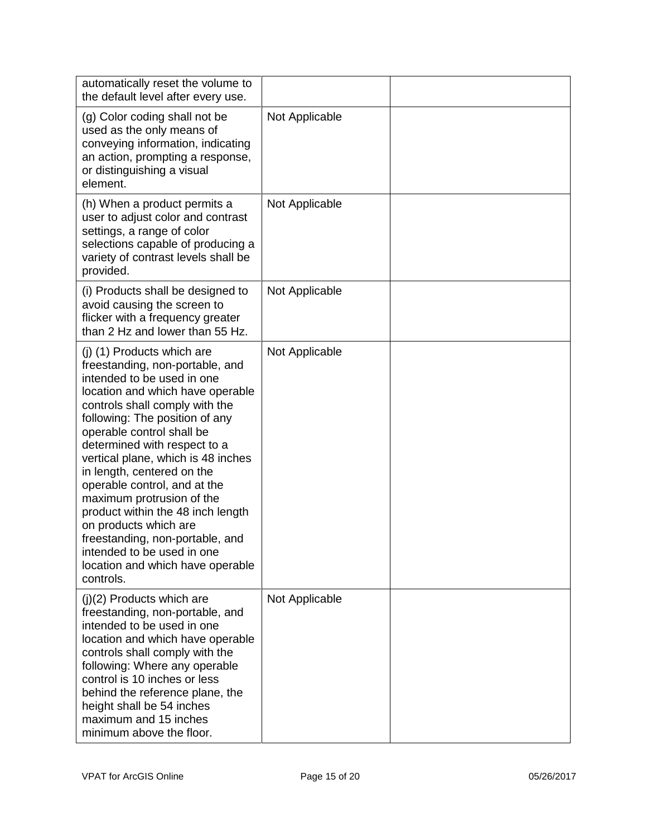| automatically reset the volume to<br>the default level after every use.                                                                                                                                                                                                                                                                                                                                                                                                                                                                                                           |                |  |
|-----------------------------------------------------------------------------------------------------------------------------------------------------------------------------------------------------------------------------------------------------------------------------------------------------------------------------------------------------------------------------------------------------------------------------------------------------------------------------------------------------------------------------------------------------------------------------------|----------------|--|
| (g) Color coding shall not be<br>used as the only means of<br>conveying information, indicating<br>an action, prompting a response,<br>or distinguishing a visual<br>element.                                                                                                                                                                                                                                                                                                                                                                                                     | Not Applicable |  |
| (h) When a product permits a<br>user to adjust color and contrast<br>settings, a range of color<br>selections capable of producing a<br>variety of contrast levels shall be<br>provided.                                                                                                                                                                                                                                                                                                                                                                                          | Not Applicable |  |
| (i) Products shall be designed to<br>avoid causing the screen to<br>flicker with a frequency greater<br>than 2 Hz and lower than 55 Hz.                                                                                                                                                                                                                                                                                                                                                                                                                                           | Not Applicable |  |
| (j) (1) Products which are<br>freestanding, non-portable, and<br>intended to be used in one<br>location and which have operable<br>controls shall comply with the<br>following: The position of any<br>operable control shall be<br>determined with respect to a<br>vertical plane, which is 48 inches<br>in length, centered on the<br>operable control, and at the<br>maximum protrusion of the<br>product within the 48 inch length<br>on products which are<br>freestanding, non-portable, and<br>intended to be used in one<br>location and which have operable<br>controls. | Not Applicable |  |
| $(j)(2)$ Products which are<br>freestanding, non-portable, and<br>intended to be used in one<br>location and which have operable<br>controls shall comply with the<br>following: Where any operable<br>control is 10 inches or less<br>behind the reference plane, the<br>height shall be 54 inches<br>maximum and 15 inches<br>minimum above the floor.                                                                                                                                                                                                                          | Not Applicable |  |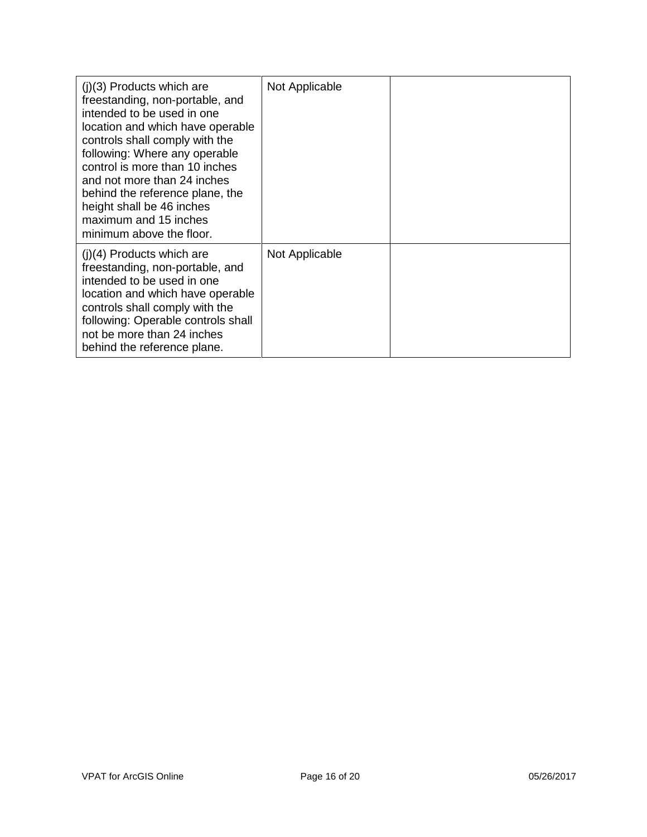| $(i)(3)$ Products which are<br>freestanding, non-portable, and<br>intended to be used in one<br>location and which have operable<br>controls shall comply with the<br>following: Where any operable<br>control is more than 10 inches<br>and not more than 24 inches<br>behind the reference plane, the<br>height shall be 46 inches<br>maximum and 15 inches<br>minimum above the floor. | Not Applicable |  |
|-------------------------------------------------------------------------------------------------------------------------------------------------------------------------------------------------------------------------------------------------------------------------------------------------------------------------------------------------------------------------------------------|----------------|--|
| $(i)(4)$ Products which are<br>freestanding, non-portable, and<br>intended to be used in one<br>location and which have operable<br>controls shall comply with the<br>following: Operable controls shall<br>not be more than 24 inches<br>behind the reference plane.                                                                                                                     | Not Applicable |  |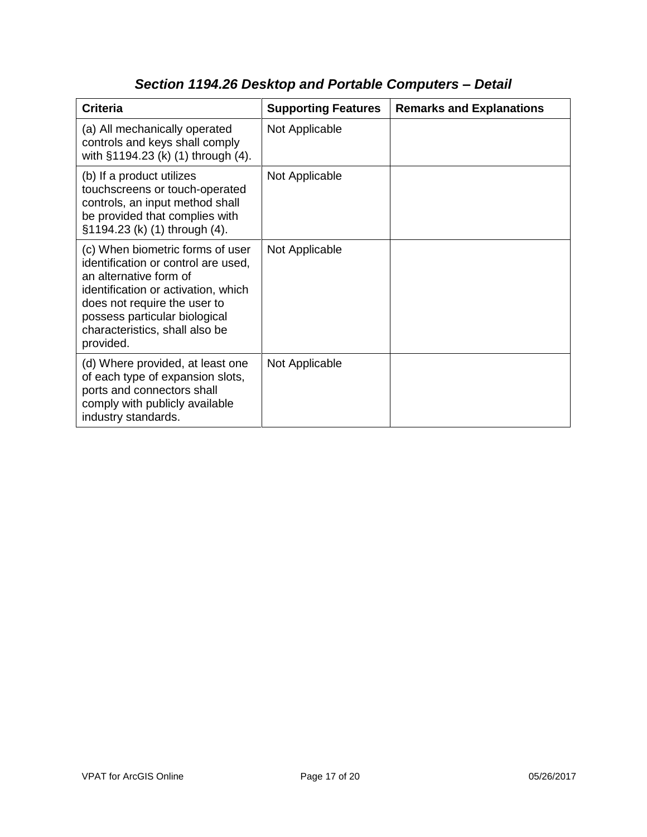| <b>Criteria</b>                                                                                                                                                                                                                                          | <b>Supporting Features</b> | <b>Remarks and Explanations</b> |
|----------------------------------------------------------------------------------------------------------------------------------------------------------------------------------------------------------------------------------------------------------|----------------------------|---------------------------------|
| (a) All mechanically operated<br>controls and keys shall comply<br>with §1194.23 (k) (1) through (4).                                                                                                                                                    | Not Applicable             |                                 |
| (b) If a product utilizes<br>touchscreens or touch-operated<br>controls, an input method shall<br>be provided that complies with<br>§1194.23 (k) (1) through (4).                                                                                        | Not Applicable             |                                 |
| (c) When biometric forms of user<br>identification or control are used,<br>an alternative form of<br>identification or activation, which<br>does not require the user to<br>possess particular biological<br>characteristics, shall also be<br>provided. | Not Applicable             |                                 |
| (d) Where provided, at least one<br>of each type of expansion slots,<br>ports and connectors shall<br>comply with publicly available<br>industry standards.                                                                                              | Not Applicable             |                                 |

## *Section 1194.26 Desktop and Portable Computers – Detail*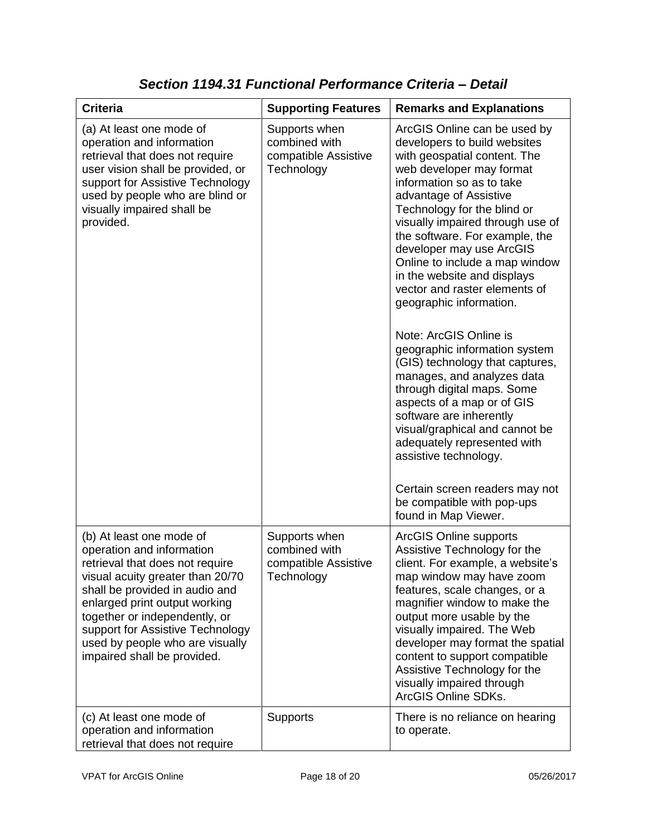| <b>Criteria</b>                                                                                                                                                                                                                                                                                                                        | <b>Supporting Features</b>                                           | <b>Remarks and Explanations</b>                                                                                                                                                                                                                                                                                                                                                                                                                                                                                                                                                                                                                                                                                                                                                                                                                    |
|----------------------------------------------------------------------------------------------------------------------------------------------------------------------------------------------------------------------------------------------------------------------------------------------------------------------------------------|----------------------------------------------------------------------|----------------------------------------------------------------------------------------------------------------------------------------------------------------------------------------------------------------------------------------------------------------------------------------------------------------------------------------------------------------------------------------------------------------------------------------------------------------------------------------------------------------------------------------------------------------------------------------------------------------------------------------------------------------------------------------------------------------------------------------------------------------------------------------------------------------------------------------------------|
| (a) At least one mode of<br>operation and information<br>retrieval that does not require<br>user vision shall be provided, or<br>support for Assistive Technology<br>used by people who are blind or<br>visually impaired shall be<br>provided.                                                                                        | Supports when<br>combined with<br>compatible Assistive<br>Technology | ArcGIS Online can be used by<br>developers to build websites<br>with geospatial content. The<br>web developer may format<br>information so as to take<br>advantage of Assistive<br>Technology for the blind or<br>visually impaired through use of<br>the software. For example, the<br>developer may use ArcGIS<br>Online to include a map window<br>in the website and displays<br>vector and raster elements of<br>geographic information.<br>Note: ArcGIS Online is<br>geographic information system<br>(GIS) technology that captures,<br>manages, and analyzes data<br>through digital maps. Some<br>aspects of a map or of GIS<br>software are inherently<br>visual/graphical and cannot be<br>adequately represented with<br>assistive technology.<br>Certain screen readers may not<br>be compatible with pop-ups<br>found in Map Viewer. |
| (b) At least one mode of<br>operation and information<br>retrieval that does not require<br>visual acuity greater than 20/70<br>shall be provided in audio and<br>enlarged print output working<br>together or independently, or<br>support for Assistive Technology<br>used by people who are visually<br>impaired shall be provided. | Supports when<br>combined with<br>compatible Assistive<br>Technology | <b>ArcGIS Online supports</b><br>Assistive Technology for the<br>client. For example, a website's<br>map window may have zoom<br>features, scale changes, or a<br>magnifier window to make the<br>output more usable by the<br>visually impaired. The Web<br>developer may format the spatial<br>content to support compatible<br>Assistive Technology for the<br>visually impaired through<br>ArcGIS Online SDKs.                                                                                                                                                                                                                                                                                                                                                                                                                                 |
| (c) At least one mode of<br>operation and information<br>retrieval that does not require                                                                                                                                                                                                                                               | <b>Supports</b>                                                      | There is no reliance on hearing<br>to operate.                                                                                                                                                                                                                                                                                                                                                                                                                                                                                                                                                                                                                                                                                                                                                                                                     |

*Section 1194.31 Functional Performance Criteria – Detail*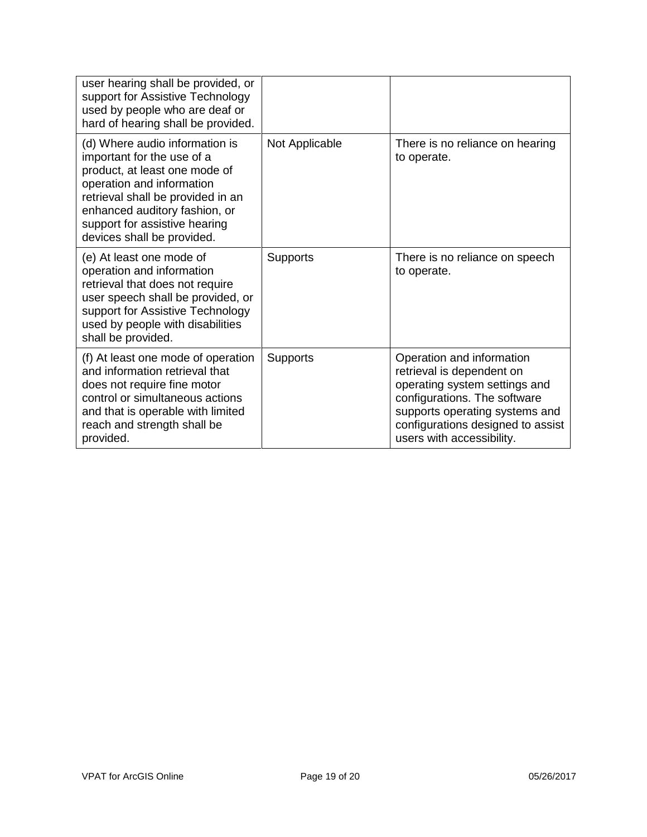| user hearing shall be provided, or<br>support for Assistive Technology<br>used by people who are deaf or<br>hard of hearing shall be provided.                                                                                                                  |                 |                                                                                                                                                                                                                             |
|-----------------------------------------------------------------------------------------------------------------------------------------------------------------------------------------------------------------------------------------------------------------|-----------------|-----------------------------------------------------------------------------------------------------------------------------------------------------------------------------------------------------------------------------|
| (d) Where audio information is<br>important for the use of a<br>product, at least one mode of<br>operation and information<br>retrieval shall be provided in an<br>enhanced auditory fashion, or<br>support for assistive hearing<br>devices shall be provided. | Not Applicable  | There is no reliance on hearing<br>to operate.                                                                                                                                                                              |
| (e) At least one mode of<br>operation and information<br>retrieval that does not require<br>user speech shall be provided, or<br>support for Assistive Technology<br>used by people with disabilities<br>shall be provided.                                     | <b>Supports</b> | There is no reliance on speech<br>to operate.                                                                                                                                                                               |
| (f) At least one mode of operation<br>and information retrieval that<br>does not require fine motor<br>control or simultaneous actions<br>and that is operable with limited<br>reach and strength shall be<br>provided.                                         | <b>Supports</b> | Operation and information<br>retrieval is dependent on<br>operating system settings and<br>configurations. The software<br>supports operating systems and<br>configurations designed to assist<br>users with accessibility. |